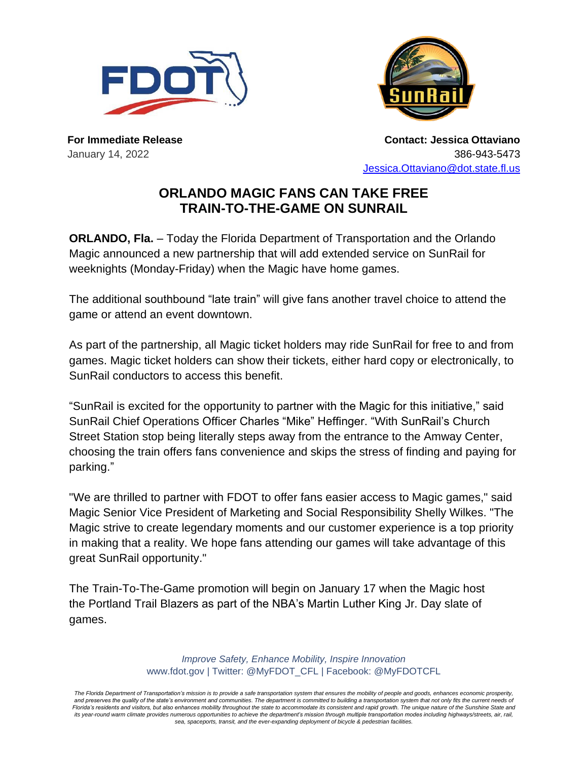



**For Immediate Release** January 14, 2022

**Contact: Jessica Ottaviano** 386-943-5473 [Jessica.Ottaviano@dot.state.fl.us](mailto:Jessica.Ottaviano@dot.state.fl.us)

## **ORLANDO MAGIC FANS CAN TAKE FREE TRAIN-TO-THE-GAME ON SUNRAIL**

**ORLANDO, Fla.** – Today the Florida Department of Transportation and the Orlando Magic announced a new partnership that will add extended service on SunRail for weeknights (Monday-Friday) when the Magic have home games.

The additional southbound "late train" will give fans another travel choice to attend the game or attend an event downtown.

As part of the partnership, all Magic ticket holders may ride SunRail for free to and from games. Magic ticket holders can show their tickets, either hard copy or electronically, to SunRail conductors to access this benefit.

"SunRail is excited for the opportunity to partner with the Magic for this initiative," said SunRail Chief Operations Officer Charles "Mike" Heffinger. "With SunRail's Church Street Station stop being literally steps away from the entrance to the Amway Center, choosing the train offers fans convenience and skips the stress of finding and paying for parking."

"We are thrilled to partner with FDOT to offer fans easier access to Magic games," said Magic Senior Vice President of Marketing and Social Responsibility Shelly Wilkes. "The Magic strive to create legendary moments and our customer experience is a top priority in making that a reality. We hope fans attending our games will take advantage of this great SunRail opportunity."

The Train-To-The-Game promotion will begin on January 17 when the Magic host the Portland Trail Blazers as part of the NBA's Martin Luther King Jr. Day slate of games.

> *Improve Safety, Enhance Mobility, Inspire Innovation* www.fdot.gov | Twitter: @MyFDOT\_CFL | Facebook: @MyFDOTCFL

*The Florida Department of Transportation's mission is to provide a safe transportation system that ensures the mobility of people and goods, enhances economic prosperity,*  and preserves the quality of the state's environment and communities. The department is committed to building a transportation system that not only fits the current needs of *Florida's residents and visitors, but also enhances mobility throughout the state to accommodate its consistent and rapid growth. The unique nature of the Sunshine State and*  its year-round warm climate provides numerous opportunities to achieve the department's mission through multiple transportation modes including highways/streets, air, rail, *sea, spaceports, transit, and the ever-expanding deployment of bicycle & pedestrian facilities.*